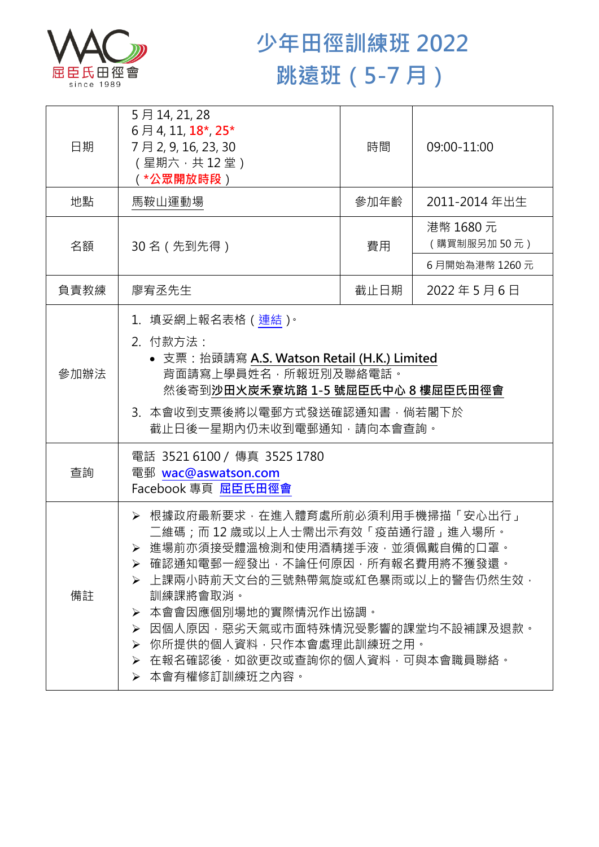

## **少年田徑訓練班 2022 跳遠班(5-7 月)**

| 日期   | 5月14, 21, 28<br>6月4, 11, 18 <sup>*</sup> , 25 <sup>*</sup><br>7月2,9,16,23,30<br>(星期六,共12堂)<br>( *公眾開放時段)                                                                                                                                                                                                                                                  | 時間   | 09:00-11:00             |  |
|------|-----------------------------------------------------------------------------------------------------------------------------------------------------------------------------------------------------------------------------------------------------------------------------------------------------------------------------------------------------------|------|-------------------------|--|
| 地點   | 馬鞍山運動場                                                                                                                                                                                                                                                                                                                                                    | 參加年齡 | 2011-2014 年出生           |  |
| 名額   | 30 名 (先到先得)                                                                                                                                                                                                                                                                                                                                               | 費用   | 港幣 1680元<br>(購買制服另加50元) |  |
|      |                                                                                                                                                                                                                                                                                                                                                           |      | 6月開始為港幣 1260元           |  |
| 負責教練 | 廖宥丞先生                                                                                                                                                                                                                                                                                                                                                     | 截止日期 | 2022年5月6日               |  |
| 參加辦法 | 1. 填妥網上報名表格 (連結)。<br>2. 付款方法:<br>• 支票: 抬頭請寫 A.S. Watson Retail (H.K.) Limited<br>背面請寫上學員姓名,所報班別及聯絡電話。<br>然後寄到沙田火炭禾寮坑路 1-5 號屈臣氏中心 8 樓屈臣氏田徑會<br>3. 本會收到支票後將以電郵方式發送確認通知書,倘若閣下於<br>截止日後一星期內仍未收到電郵通知,請向本會查詢。                                                                                                                                                   |      |                         |  |
| 查詢   | 電話 35216100 / 傳真 3525 1780<br>電郵 wac@aswatson.com<br>Facebook 專頁 屈臣氏田徑會                                                                                                                                                                                                                                                                                   |      |                         |  |
| 備註   | ▶ 根據政府最新要求,在進入體育處所前必須利用手機掃描「安心出行」<br>二維碼;而12歲或以上人士需出示有效「疫苗通行證」進入場所。<br>> 進場前亦須接受體溫檢測和使用酒精搓手液·並須佩戴自備的口罩·<br>▶ 確認通知電郵一經發出,不論任何原因,所有報名費用將不獲發還。<br>▶ 上課兩小時前天文台的三號熱帶氣旋或紅色暴雨或以上的警告仍然生效,<br>訓練課將會取消。<br>本會會因應個別場地的實際情況作出協調。<br>➤<br>因個人原因‧惡劣天氣或市面特殊情況受影響的課堂均不設補課及退款。<br>➤<br>你所提供的個人資料,只作本會處理此訓練班之用。<br>≻<br>> 在報名確認後,如欲更改或查詢你的個人資料,可與本會職員聯絡。<br>▶ 本會有權修訂訓練班之內容。 |      |                         |  |